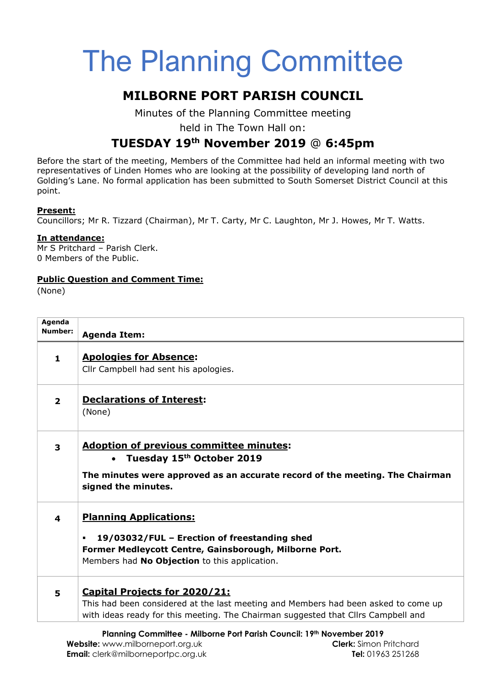# The Planning Committee

## MILBORNE PORT PARISH COUNCIL

Minutes of the Planning Committee meeting

held in The Town Hall on:

# TUESDAY 19th November 2019 @ 6:45pm

Before the start of the meeting, Members of the Committee had held an informal meeting with two representatives of Linden Homes who are looking at the possibility of developing land north of Golding's Lane. No formal application has been submitted to South Somerset District Council at this point.

## Present:

Councillors; Mr R. Tizzard (Chairman), Mr T. Carty, Mr C. Laughton, Mr J. Howes, Mr T. Watts.

### In attendance:

Mr S Pritchard – Parish Clerk. 0 Members of the Public.

### Public Question and Comment Time:

(None)

| Agenda<br>Number:       | <b>Agenda Item:</b>                                                                                                                                                                                             |
|-------------------------|-----------------------------------------------------------------------------------------------------------------------------------------------------------------------------------------------------------------|
| 1.                      | <b>Apologies for Absence:</b><br>Cllr Campbell had sent his apologies.                                                                                                                                          |
| $\overline{2}$          | <b>Declarations of Interest:</b><br>(None)                                                                                                                                                                      |
| $\overline{\mathbf{3}}$ | <b>Adoption of previous committee minutes:</b><br>• Tuesday 15 <sup>th</sup> October 2019<br>The minutes were approved as an accurate record of the meeting. The Chairman<br>signed the minutes.                |
| 4                       | <b>Planning Applications:</b><br>19/03032/FUL - Erection of freestanding shed<br>$\blacksquare$<br>Former Medleycott Centre, Gainsborough, Milborne Port.<br>Members had No Objection to this application.      |
| 5                       | <b>Capital Projects for 2020/21:</b><br>This had been considered at the last meeting and Members had been asked to come up<br>with ideas ready for this meeting. The Chairman suggested that Cllrs Campbell and |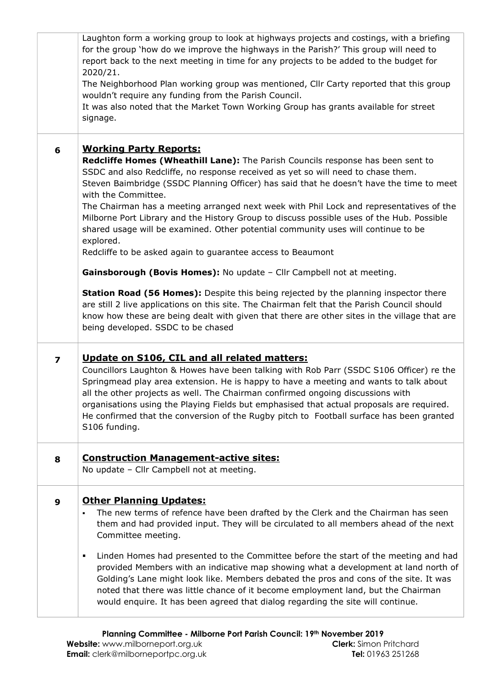|                         | Laughton form a working group to look at highways projects and costings, with a briefing<br>for the group 'how do we improve the highways in the Parish?' This group will need to<br>report back to the next meeting in time for any projects to be added to the budget for<br>2020/21.<br>The Neighborhood Plan working group was mentioned, Cllr Carty reported that this group<br>wouldn't require any funding from the Parish Council.<br>It was also noted that the Market Town Working Group has grants available for street<br>signage.                                                                                                                                         |
|-------------------------|----------------------------------------------------------------------------------------------------------------------------------------------------------------------------------------------------------------------------------------------------------------------------------------------------------------------------------------------------------------------------------------------------------------------------------------------------------------------------------------------------------------------------------------------------------------------------------------------------------------------------------------------------------------------------------------|
| 6                       | <b>Working Party Reports:</b><br>Redcliffe Homes (Wheathill Lane): The Parish Councils response has been sent to<br>SSDC and also Redcliffe, no response received as yet so will need to chase them.<br>Steven Baimbridge (SSDC Planning Officer) has said that he doesn't have the time to meet<br>with the Committee.<br>The Chairman has a meeting arranged next week with Phil Lock and representatives of the<br>Milborne Port Library and the History Group to discuss possible uses of the Hub. Possible<br>shared usage will be examined. Other potential community uses will continue to be<br>explored.<br>Redcliffe to be asked again to guarantee access to Beaumont       |
|                         | Gainsborough (Bovis Homes): No update - Cllr Campbell not at meeting.<br><b>Station Road (56 Homes):</b> Despite this being rejected by the planning inspector there<br>are still 2 live applications on this site. The Chairman felt that the Parish Council should<br>know how these are being dealt with given that there are other sites in the village that are<br>being developed. SSDC to be chased                                                                                                                                                                                                                                                                             |
| $\overline{\mathbf{z}}$ | Update on S106, CIL and all related matters:<br>Councillors Laughton & Howes have been talking with Rob Parr (SSDC S106 Officer) re the<br>Springmead play area extension. He is happy to have a meeting and wants to talk about<br>all the other projects as well. The Chairman confirmed ongoing discussions with<br>organisations using the Playing Fields but emphasised that actual proposals are required.<br>He confirmed that the conversion of the Rugby pitch to Football surface has been granted<br>S106 funding.                                                                                                                                                          |
| 8                       | <b>Construction Management-active sites:</b><br>No update - Cllr Campbell not at meeting.                                                                                                                                                                                                                                                                                                                                                                                                                                                                                                                                                                                              |
| 9                       | <b>Other Planning Updates:</b><br>The new terms of refence have been drafted by the Clerk and the Chairman has seen<br>them and had provided input. They will be circulated to all members ahead of the next<br>Committee meeting.<br>Linden Homes had presented to the Committee before the start of the meeting and had<br>٠<br>provided Members with an indicative map showing what a development at land north of<br>Golding's Lane might look like. Members debated the pros and cons of the site. It was<br>noted that there was little chance of it become employment land, but the Chairman<br>would enquire. It has been agreed that dialog regarding the site will continue. |